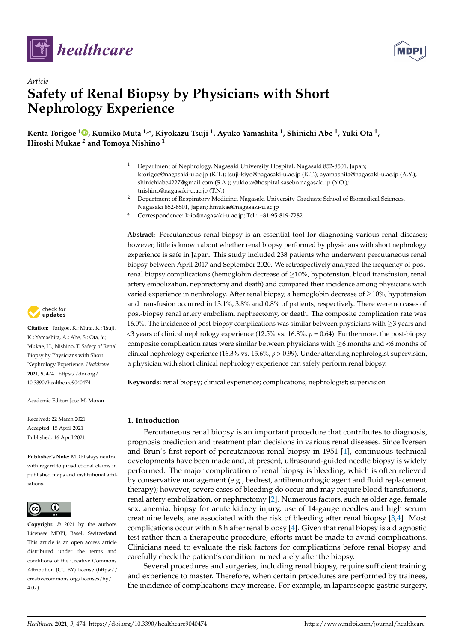



# *Article* **Safety of Renal Biopsy by Physicians with Short Nephrology Experience**

**Kenta Torigoe <sup>1</sup> [,](https://orcid.org/0000-0003-3085-0391) Kumiko Muta 1,\*, Kiyokazu Tsuji <sup>1</sup> , Ayuko Yamashita <sup>1</sup> , Shinichi Abe <sup>1</sup> , Yuki Ota <sup>1</sup> , Hiroshi Mukae <sup>2</sup> and Tomoya Nishino <sup>1</sup>**

- <sup>1</sup> Department of Nephrology, Nagasaki University Hospital, Nagasaki 852-8501, Japan; ktorigoe@nagasaki-u.ac.jp (K.T.); tsuji-kiyo@nagasaki-u.ac.jp (K.T.); ayamashita@nagasaki-u.ac.jp (A.Y.); shinichiabe4227@gmail.com (S.A.); yukiota@hospital.sasebo.nagasaki.jp (Y.O.); tnishino@nagasaki-u.ac.jp (T.N.)
- <sup>2</sup> Department of Respiratory Medicine, Nagasaki University Graduate School of Biomedical Sciences, Nagasaki 852-8501, Japan; hmukae@nagasaki-u.ac.jp
- **\*** Correspondence: k-io@nagasaki-u.ac.jp; Tel.: +81-95-819-7282

**Abstract:** Percutaneous renal biopsy is an essential tool for diagnosing various renal diseases; however, little is known about whether renal biopsy performed by physicians with short nephrology experience is safe in Japan. This study included 238 patients who underwent percutaneous renal biopsy between April 2017 and September 2020. We retrospectively analyzed the frequency of postrenal biopsy complications (hemoglobin decrease of  $\geq$ 10%, hypotension, blood transfusion, renal artery embolization, nephrectomy and death) and compared their incidence among physicians with varied experience in nephrology. After renal biopsy, a hemoglobin decrease of  $\geq$ 10%, hypotension and transfusion occurred in 13.1%, 3.8% and 0.8% of patients, respectively. There were no cases of post-biopsy renal artery embolism, nephrectomy, or death. The composite complication rate was 16.0%. The incidence of post-biopsy complications was similar between physicians with ≥3 years and <3 years of clinical nephrology experience (12.5% vs. 16.8%, *p* = 0.64). Furthermore, the post-biopsy composite complication rates were similar between physicians with  $\geq 6$  months and <6 months of clinical nephrology experience (16.3% vs. 15.6%, *p* > 0.99). Under attending nephrologist supervision, a physician with short clinical nephrology experience can safely perform renal biopsy.

**Keywords:** renal biopsy; clinical experience; complications; nephrologist; supervision

# **1. Introduction**

Percutaneous renal biopsy is an important procedure that contributes to diagnosis, prognosis prediction and treatment plan decisions in various renal diseases. Since Iversen and Brun's first report of percutaneous renal biopsy in 1951 [\[1\]](#page-6-0), continuous technical developments have been made and, at present, ultrasound-guided needle biopsy is widely performed. The major complication of renal biopsy is bleeding, which is often relieved by conservative management (e.g., bedrest, antihemorrhagic agent and fluid replacement therapy); however, severe cases of bleeding do occur and may require blood transfusions, renal artery embolization, or nephrectomy [\[2\]](#page-6-1). Numerous factors, such as older age, female sex, anemia, biopsy for acute kidney injury, use of 14-gauge needles and high serum creatinine levels, are associated with the risk of bleeding after renal biopsy [\[3,](#page-6-2)[4\]](#page-6-3). Most complications occur within 8 h after renal biopsy [\[4\]](#page-6-3). Given that renal biopsy is a diagnostic test rather than a therapeutic procedure, efforts must be made to avoid complications. Clinicians need to evaluate the risk factors for complications before renal biopsy and carefully check the patient's condition immediately after the biopsy.

Several procedures and surgeries, including renal biopsy, require sufficient training and experience to master. Therefore, when certain procedures are performed by trainees, the incidence of complications may increase. For example, in laparoscopic gastric surgery,



**Citation:** Torigoe, K.; Muta, K.; Tsuji, K.; Yamashita, A.; Abe, S.; Ota, Y.; Mukae, H.; Nishino, T. Safety of Renal Biopsy by Physicians with Short Nephrology Experience. *Healthcare* **2021**, *9*, 474. [https://doi.org/](https://doi.org/10.3390/healthcare9040474) [10.3390/healthcare9040474](https://doi.org/10.3390/healthcare9040474)

Academic Editor: Jose M. Moran

Received: 22 March 2021 Accepted: 15 April 2021 Published: 16 April 2021

**Publisher's Note:** MDPI stays neutral with regard to jurisdictional claims in published maps and institutional affiliations.



**Copyright:** © 2021 by the authors. Licensee MDPI, Basel, Switzerland. This article is an open access article distributed under the terms and conditions of the Creative Commons Attribution (CC BY) license (https:/[/](https://creativecommons.org/licenses/by/4.0/) [creativecommons.org/licenses/by/](https://creativecommons.org/licenses/by/4.0/)  $4.0/$ ).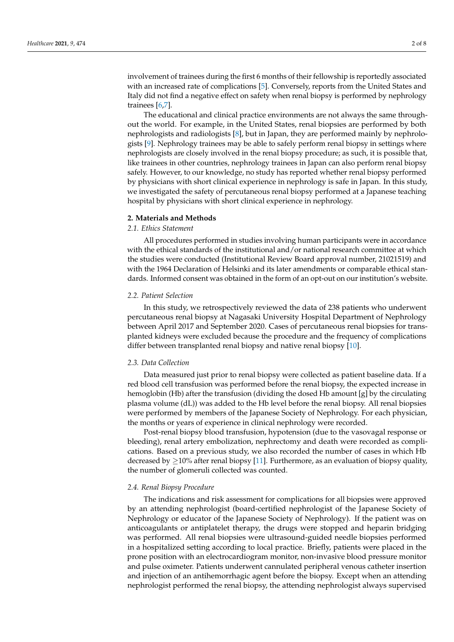involvement of trainees during the first 6 months of their fellowship is reportedly associated with an increased rate of complications [\[5\]](#page-6-4). Conversely, reports from the United States and Italy did not find a negative effect on safety when renal biopsy is performed by nephrology trainees [\[6,](#page-6-5)[7\]](#page-7-0).

The educational and clinical practice environments are not always the same throughout the world. For example, in the United States, renal biopsies are performed by both nephrologists and radiologists [\[8\]](#page-7-1), but in Japan, they are performed mainly by nephrologists [\[9\]](#page-7-2). Nephrology trainees may be able to safely perform renal biopsy in settings where nephrologists are closely involved in the renal biopsy procedure; as such, it is possible that, like trainees in other countries, nephrology trainees in Japan can also perform renal biopsy safely. However, to our knowledge, no study has reported whether renal biopsy performed by physicians with short clinical experience in nephrology is safe in Japan. In this study, we investigated the safety of percutaneous renal biopsy performed at a Japanese teaching hospital by physicians with short clinical experience in nephrology.

#### **2. Materials and Methods**

## *2.1. Ethics Statement*

All procedures performed in studies involving human participants were in accordance with the ethical standards of the institutional and/or national research committee at which the studies were conducted (Institutional Review Board approval number, 21021519) and with the 1964 Declaration of Helsinki and its later amendments or comparable ethical standards. Informed consent was obtained in the form of an opt-out on our institution's website.

#### *2.2. Patient Selection*

In this study, we retrospectively reviewed the data of 238 patients who underwent percutaneous renal biopsy at Nagasaki University Hospital Department of Nephrology between April 2017 and September 2020. Cases of percutaneous renal biopsies for transplanted kidneys were excluded because the procedure and the frequency of complications differ between transplanted renal biopsy and native renal biopsy [\[10\]](#page-7-3).

## *2.3. Data Collection*

Data measured just prior to renal biopsy were collected as patient baseline data. If a red blood cell transfusion was performed before the renal biopsy, the expected increase in hemoglobin (Hb) after the transfusion (dividing the dosed Hb amount [g] by the circulating plasma volume (dL)) was added to the Hb level before the renal biopsy. All renal biopsies were performed by members of the Japanese Society of Nephrology. For each physician, the months or years of experience in clinical nephrology were recorded.

Post-renal biopsy blood transfusion, hypotension (due to the vasovagal response or bleeding), renal artery embolization, nephrectomy and death were recorded as complications. Based on a previous study, we also recorded the number of cases in which Hb decreased by  $\geq$ 10% after renal biopsy [\[11\]](#page-7-4). Furthermore, as an evaluation of biopsy quality, the number of glomeruli collected was counted.

# *2.4. Renal Biopsy Procedure*

The indications and risk assessment for complications for all biopsies were approved by an attending nephrologist (board-certified nephrologist of the Japanese Society of Nephrology or educator of the Japanese Society of Nephrology). If the patient was on anticoagulants or antiplatelet therapy, the drugs were stopped and heparin bridging was performed. All renal biopsies were ultrasound-guided needle biopsies performed in a hospitalized setting according to local practice. Briefly, patients were placed in the prone position with an electrocardiogram monitor, non-invasive blood pressure monitor and pulse oximeter. Patients underwent cannulated peripheral venous catheter insertion and injection of an antihemorrhagic agent before the biopsy. Except when an attending nephrologist performed the renal biopsy, the attending nephrologist always supervised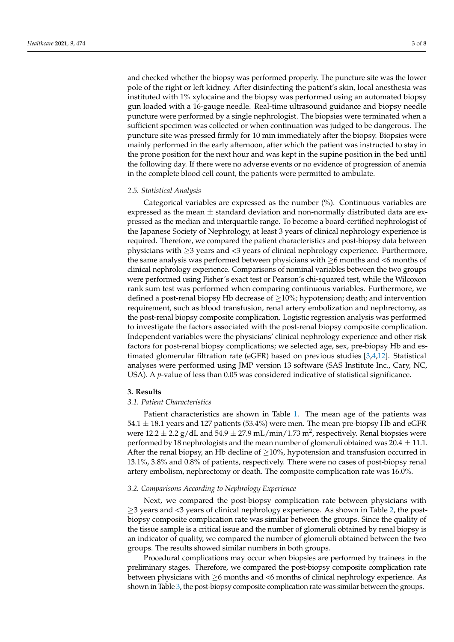and checked whether the biopsy was performed properly. The puncture site was the lower pole of the right or left kidney. After disinfecting the patient's skin, local anesthesia was instituted with 1% xylocaine and the biopsy was performed using an automated biopsy gun loaded with a 16-gauge needle. Real-time ultrasound guidance and biopsy needle puncture were performed by a single nephrologist. The biopsies were terminated when a sufficient specimen was collected or when continuation was judged to be dangerous. The puncture site was pressed firmly for 10 min immediately after the biopsy. Biopsies were mainly performed in the early afternoon, after which the patient was instructed to stay in the prone position for the next hour and was kept in the supine position in the bed until the following day. If there were no adverse events or no evidence of progression of anemia in the complete blood cell count, the patients were permitted to ambulate.

# *2.5. Statistical Analysis*

Categorical variables are expressed as the number (%). Continuous variables are expressed as the mean  $\pm$  standard deviation and non-normally distributed data are expressed as the median and interquartile range. To become a board-certified nephrologist of the Japanese Society of Nephrology, at least 3 years of clinical nephrology experience is required. Therefore, we compared the patient characteristics and post-biopsy data between physicians with ≥3 years and <3 years of clinical nephrology experience. Furthermore, the same analysis was performed between physicians with ≥6 months and <6 months of clinical nephrology experience. Comparisons of nominal variables between the two groups were performed using Fisher's exact test or Pearson's chi-squared test, while the Wilcoxon rank sum test was performed when comparing continuous variables. Furthermore, we defined a post-renal biopsy Hb decrease of  $\geq$ 10%; hypotension; death; and intervention requirement, such as blood transfusion, renal artery embolization and nephrectomy, as the post-renal biopsy composite complication. Logistic regression analysis was performed to investigate the factors associated with the post-renal biopsy composite complication. Independent variables were the physicians' clinical nephrology experience and other risk factors for post-renal biopsy complications; we selected age, sex, pre-biopsy Hb and estimated glomerular filtration rate (eGFR) based on previous studies [\[3](#page-6-2)[,4](#page-6-3)[,12\]](#page-7-5). Statistical analyses were performed using JMP version 13 software (SAS Institute Inc., Cary, NC, USA). A *p*-value of less than 0.05 was considered indicative of statistical significance.

# **3. Results**

# *3.1. Patient Characteristics*

Patient characteristics are shown in Table [1.](#page-3-0) The mean age of the patients was  $54.1 \pm 18.1$  years and 127 patients (53.4%) were men. The mean pre-biopsy Hb and eGFR were 12.2  $\pm$  2.2 g/dL and 54.9  $\pm$  27.9 mL/min/1.73 m<sup>2</sup>, respectively. Renal biopsies were performed by 18 nephrologists and the mean number of glomeruli obtained was  $20.4 \pm 11.1$ . After the renal biopsy, an Hb decline of  $\geq$ 10%, hypotension and transfusion occurred in 13.1%, 3.8% and 0.8% of patients, respectively. There were no cases of post-biopsy renal artery embolism, nephrectomy or death. The composite complication rate was 16.0%.

# *3.2. Comparisons According to Nephrology Experience*

Next, we compared the post-biopsy complication rate between physicians with ≥3 years and <3 years of clinical nephrology experience. As shown in Table [2,](#page-3-1) the postbiopsy composite complication rate was similar between the groups. Since the quality of the tissue sample is a critical issue and the number of glomeruli obtained by renal biopsy is an indicator of quality, we compared the number of glomeruli obtained between the two groups. The results showed similar numbers in both groups.

Procedural complications may occur when biopsies are performed by trainees in the preliminary stages. Therefore, we compared the post-biopsy composite complication rate between physicians with ≥6 months and <6 months of clinical nephrology experience. As shown in Table [3,](#page-4-0) the post-biopsy composite complication rate was similar between the groups.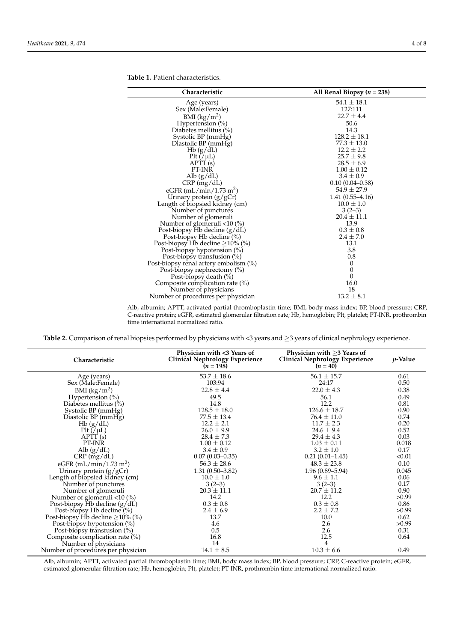| Characteristic                        | All Renal Biopsy $(n = 238)$ |  |  |  |  |
|---------------------------------------|------------------------------|--|--|--|--|
| Age (years)                           | $54.1 \pm 18.1$              |  |  |  |  |
| Sex (Male:Female)                     | 127:111                      |  |  |  |  |
| BMI $(kg/m^2)$                        | $22.7 \pm 4.4$               |  |  |  |  |
| Hypertension $(\%)$                   | 50.6                         |  |  |  |  |
| Diabetes mellitus (%)                 | 14.3                         |  |  |  |  |
| Systolic BP (mmHg)                    | $128.2 \pm 18.1$             |  |  |  |  |
| Diastolic BP (mmHg)                   | $77.3 \pm 13.0$              |  |  |  |  |
| Hb(g/dL)                              | $12.2 \pm 2.2$               |  |  |  |  |
| $P$ lt $//\mu L)$                     | $25.7 \pm 9.8$               |  |  |  |  |
| APTT (s)                              | $28.5 \pm 6.9$               |  |  |  |  |
| PT-INR                                | $1.00 \pm 0.12$              |  |  |  |  |
| Alb $(g/dL)$                          | $3.4 \pm 0.9$                |  |  |  |  |
| CRP (mg/dL)                           | $0.10(0.04 - 0.38)$          |  |  |  |  |
| eGFR $(mL/min/1.73 m2)$               | $54.9 \pm 27.9$              |  |  |  |  |
| Urinary protein $(g/gCr)$             | $1.41(0.55-4.16)$            |  |  |  |  |
| Length of biopsied kidney (cm)        | $10.0 \pm 1.0$               |  |  |  |  |
| Number of punctures                   | $3(2-3)$                     |  |  |  |  |
| Number of glomeruli                   | $20.4 \pm 11.1$              |  |  |  |  |
| Number of glomeruli $< 10$ (%)        | 13.9                         |  |  |  |  |
| Post-biopsy Hb decline (g/dL)         | $0.3 \pm 0.8$                |  |  |  |  |
| Post-biopsy Hb decline (%)            | $2.4 \pm 7.0$                |  |  |  |  |
| Post-biopsy Hb decline $\geq$ 10% (%) | 13.1                         |  |  |  |  |
| Post-biopsy hypotension (%)           | 3.8                          |  |  |  |  |
| Post-biopsy transfusion $(\%)$        | 0.8                          |  |  |  |  |
| Post-biopsy renal artery embolism (%) | $\mathbf{0}$                 |  |  |  |  |
| Post-biopsy nephrectomy (%)           | 0                            |  |  |  |  |
| Post-biopsy death (%)                 | $\mathbf{0}$                 |  |  |  |  |
| Composite complication rate $(\%)$    | 16.0                         |  |  |  |  |
| Number of physicians                  | 18                           |  |  |  |  |
| Number of procedures per physician    | $13.2 \pm 8.1$               |  |  |  |  |

<span id="page-3-0"></span>**Table 1.** Patient characteristics.

Alb, albumin; APTT, activated partial thromboplastin time; BMI, body mass index; BP, blood pressure; CRP, C-reactive protein; eGFR, estimated glomerular filtration rate; Hb, hemoglobin; Plt, platelet; PT-INR, prothrombin time international normalized ratio.

<span id="page-3-1"></span>**Table 2.** Comparison of renal biopsies performed by physicians with <3 years and ≥3 years of clinical nephrology experience.

| Characteristic                               | Physician with <3 Years of<br><b>Clinical Nephrology Experience</b><br>$(n = 198)$ | Physician with $>3$ Years of<br><b>Clinical Nephrology Experience</b><br>$(n = 40)$ | $p$ -Value |
|----------------------------------------------|------------------------------------------------------------------------------------|-------------------------------------------------------------------------------------|------------|
| Age (years)                                  | $53.7 \pm 18.6$                                                                    | $56.1 \pm 15.7$                                                                     | 0.61       |
| Sex (Male:Female)                            | 103:94                                                                             | 24:17                                                                               | 0.50       |
| BMI $\frac{\text{kg}}{\text{m}^2}$           | $22.8 \pm 4.4$                                                                     | $22.0 \pm 4.3$                                                                      | 0.38       |
| Hypertension $(\%)$                          | 49.5                                                                               | 56.1                                                                                | 0.49       |
| Diabetes mellitus (%)                        | 14.8                                                                               | 12.2                                                                                | 0.81       |
| Systolic BP (mmHg)                           | $128.5 \pm 18.0$                                                                   | $126.6 \pm 18.7$                                                                    | 0.90       |
| Diastolic BP (mmHg)                          | $77.5 \pm 13.4$                                                                    | $76.4 \pm 11.0$                                                                     | 0.74       |
| Hb(g/dL)                                     | $12.2 \pm 2.1$                                                                     | $11.7 \pm 2.3$                                                                      | 0.20       |
| $P$ lt (/ $\mu$ L)                           | $26.0 \pm 9.9$                                                                     | $24.6 \pm 9.4$                                                                      | 0.52       |
| $\operatorname{APT}(\mathrm{s})$             | $28.4 \pm 7.3$                                                                     | $29.4 \pm 4.3$                                                                      | 0.03       |
| PT-INR                                       | $1.00 \pm 0.12$                                                                    | $1.03 \pm 0.11$                                                                     | 0.018      |
| Alb $(g/dL)$                                 | $3.4 \pm 0.9$                                                                      | $3.2 \pm 1.0$                                                                       | 0.17       |
| $CRP$ (mg/dL)                                | $0.07(0.03 - 0.35)$                                                                | $0.21(0.01-1.45)$                                                                   | < 0.01     |
| eGFR (mL/min/1.73 m <sup>2</sup> )           | $56.3 \pm 28.6$                                                                    | $48.3 \pm 23.8$                                                                     | 0.10       |
| Urinary protein (g/gCr)                      | $1.31(0.50-3.82)$                                                                  | $1.96(0.89 - 5.94)$                                                                 | 0.045      |
| Length of biopsied kidney (cm)               | $10.0 \pm 1.0$                                                                     | $9.6 \pm 1.1$                                                                       | 0.06       |
| Number of punctures                          | $3(2-3)$                                                                           | $3(2-3)$                                                                            | 0.17       |
| Number of glomeruli                          | $20.3 \pm 11.1$                                                                    | $20.7 \pm 11.2$                                                                     | 0.90       |
| Number of glomeruli $\langle 10 \rangle$ (%) | 14.2                                                                               | 12.2                                                                                | >0.99      |
| Post-biopsy Hb decline $(g/dL)$              | $0.3 \pm 0.8$                                                                      | $0.3 \pm 0.8$                                                                       | 0.86       |
| Post-biopsy Hb decline (%)                   | $2.4 \pm 6.9$                                                                      | $2.2 \pm 7.2$                                                                       | >0.99      |
| Post-biopsy Hb decline $\geq$ 10% (%)        | 13.7                                                                               | 10.0                                                                                | 0.62       |
| Post-biopsy hypotension (%)                  | 4.6                                                                                | 2.6                                                                                 | >0.99      |
| Post-biopsy transfusion (%)                  | 0.5                                                                                | 2.6                                                                                 | 0.31       |
| Composite complication rate (%)              | 16.8                                                                               | 12.5                                                                                | 0.64       |
| Number of physicians                         | 14                                                                                 | 4                                                                                   |            |
| Number of procedures per physician           | $14.1 \pm 8.5$                                                                     | $10.3 \pm 6.6$                                                                      | 0.49       |

Alb, albumin; APTT, activated partial thromboplastin time; BMI, body mass index; BP, blood pressure; CRP, C-reactive protein; eGFR, estimated glomerular filtration rate; Hb, hemoglobin; Plt, platelet; PT-INR, prothrombin time international normalized ratio.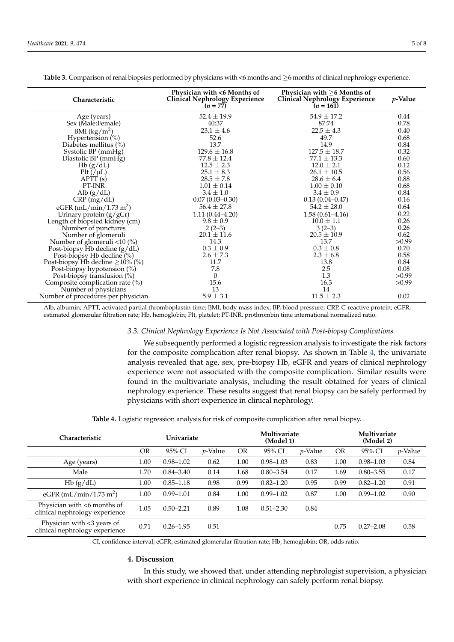| Characteristic                        | Physician with <6 Months of<br><b>Clinical Nephrology Experience</b><br>$(n = 77)$ | Physician with $\geq 6$ Months of<br><b>Clinical Nephrology Experience</b><br>$(n = 161)$ | <i>p</i> -Value |
|---------------------------------------|------------------------------------------------------------------------------------|-------------------------------------------------------------------------------------------|-----------------|
| Age (years)                           | $52.4 \pm 19.9$                                                                    | $54.9 \pm 17.2$                                                                           | 0.44            |
| Sex (Male:Female)                     | 40:37                                                                              | 87:74                                                                                     | 0.78            |
| BMI (kg/m <sup>2</sup> )              | $23.1 \pm 4.6$                                                                     | $22.5 \pm 4.3$                                                                            | 0.40            |
| Hypertension $(\%)$                   | 52.6                                                                               | 49.7                                                                                      | 0.68            |
| Diabetes mellitus (%)                 | 13.7                                                                               | 14.9                                                                                      | 0.84            |
| Systolic BP (mmHg)                    | $129.6 \pm 16.8$                                                                   | $127.5 \pm 18.7$                                                                          | 0.32            |
| Diastolic BP (mmHg)                   | $77.8 \pm 12.4$                                                                    | $77.1 \pm 13.3$                                                                           | 0.60            |
| Hb(g/dL)                              | $12.5 \pm 2.3$                                                                     | $12.0 \pm 2.1$                                                                            | 0.12            |
| $P$ lt $//\mu L)$                     | $25.1 \pm 8.3$                                                                     | $26.1 \pm 10.5$                                                                           | 0.56            |
| $\text{APTT}(s)$                      | $28.5 \pm 7.8$                                                                     | $28.6 \pm 6.4$                                                                            | 0.88            |
| PT-INR                                | $1.01 \pm 0.14$                                                                    | $1.00 \pm 0.10$                                                                           | 0.68            |
| Alb $(g/dL)$                          | $3.4 \pm 1.0$                                                                      | $3.4 \pm 0.9$                                                                             | 0.84            |
| $CRP$ (mg/dL)                         | $0.07(0.03-0.30)$                                                                  | $0.13(0.04 - 0.47)$                                                                       | 0.16            |
| eGFR (mL/min/1.73 m <sup>2</sup> )    | $56.4 \pm 27.8$                                                                    | $54.2 \pm 28.0$                                                                           | 0.64            |
| Urinary protein (g/gCr)               | $1.11(0.44 - 4.20)$                                                                | $1.58(0.61 - 4.16)$                                                                       | 0.22            |
| Length of biopsied kidney (cm)        | $9.8 \pm 0.9$                                                                      | $10.0 \pm 1.1$                                                                            | 0.26            |
| Number of punctures                   | $2(2-3)$                                                                           | $3(2-3)$                                                                                  | 0.26            |
| Number of glomeruli                   | $20.1 \pm 11.6$                                                                    | $20.5 \pm 10.9$                                                                           | 0.62            |
| Number of glomeruli <10 (%)           | 14.3                                                                               | 13.7                                                                                      | >0.99           |
| Post-biopsy Hb decline (g/dL)         | $0.3 \pm 0.9$                                                                      | $0.3 \pm 0.8$                                                                             | 0.70            |
| Post-biopsy Hb decline (%)            | $2.6 \pm 7.3$                                                                      | $2.3 \pm 6.8$                                                                             | 0.58            |
| Post-biopsy Hb decline $\geq$ 10% (%) | 11.7                                                                               | 13.8                                                                                      | 0.84            |
| Post-biopsy hypotension (%)           | 7.8                                                                                | 2.5                                                                                       | 0.08            |
| Post-biopsy transfusion (%)           | $\mathbf{0}$                                                                       | 1.3                                                                                       | >0.99           |
| Composite complication rate (%)       | 15.6                                                                               | 16.3                                                                                      | >0.99           |
| Number of physicians                  | 13                                                                                 | 14                                                                                        |                 |
| Number of procedures per physician    | $5.9 \pm 3.1$                                                                      | $11.5 \pm 2.3$                                                                            | 0.02            |

<span id="page-4-0"></span>Table 3. Comparison of renal biopsies performed by physicians with <6 months and ≥6 months of clinical nephrology experience.

Alb, albumin; APTT, activated partial thromboplastin time; BMI, body mass index; BP, blood pressure; CRP, C-reactive protein; eGFR, estimated glomerular filtration rate; Hb, hemoglobin; Plt, platelet; PT-INR, prothrombin time international normalized ratio.

# *3.3. Clinical Nephrology Experience Is Not Associated with Post-biopsy Complications*

We subsequently performed a logistic regression analysis to investigate the risk factors for the composite complication after renal biopsy. As shown in Table [4,](#page-4-1) the univariate analysis revealed that age, sex, pre-biopsy Hb, eGFR and years of clinical nephrology experience were not associated with the composite complication. Similar results were found in the multivariate analysis, including the result obtained for years of clinical nephrology experience. These results suggest that renal biopsy can be safely performed by physicians with short experience in clinical nephrology.

**Table 4.** Logistic regression analysis for risk of composite complication after renal biopsy.

<span id="page-4-1"></span>

| Characteristic                                                |           | Univariate    |                 | Multivariate<br>(Model 1) |               | Multivariate<br>(Model 2) |           |               |            |
|---------------------------------------------------------------|-----------|---------------|-----------------|---------------------------|---------------|---------------------------|-----------|---------------|------------|
|                                                               | <b>OR</b> | 95% CI        | <i>p</i> -Value | <b>OR</b>                 | 95% CI        | <i>p</i> -Value           | <b>OR</b> | 95% CI        | $p$ -Value |
| Age (years)                                                   | 1.00      | $0.98 - 1.02$ | 0.62            | 1.00                      | $0.98 - 1.03$ | 0.83                      | 1.00      | $0.98 - 1.03$ | 0.84       |
| Male                                                          | 1.70      | $0.84 - 3.40$ | 0.14            | 1.68                      | $0.80 - 3.54$ | 0.17                      | 1.69      | $0.80 - 3.55$ | 0.17       |
| Hb(g/dL)                                                      | 1.00      | $0.85 - 1.18$ | 0.98            | 0.99                      | $0.82 - 1.20$ | 0.95                      | 0.99      | $0.82 - 1.20$ | 0.91       |
| eGFR (mL/min/1.73 m <sup>2</sup> )                            | 1.00      | $0.99 - 1.01$ | 0.84            | 1.00                      | $0.99 - 1.02$ | 0.87                      | 1.00      | $0.99 - 1.02$ | 0.90       |
| Physician with <6 months of<br>clinical nephrology experience | 1.05      | $0.50 - 2.21$ | 0.89            | 1.08                      | $0.51 - 2.30$ | 0.84                      |           |               |            |
| Physician with <3 years of<br>clinical nephrology experience  | 0.71      | $0.26 - 1.95$ | 0.51            |                           |               |                           | 0.75      | $0.27 - 2.08$ | 0.58       |

CI, confidence interval; eGFR, estimated glomerular filtration rate; Hb, hemoglobin; OR, odds ratio.

## **4. Discussion**

In this study, we showed that, under attending nephrologist supervision, a physician with short experience in clinical nephrology can safely perform renal biopsy.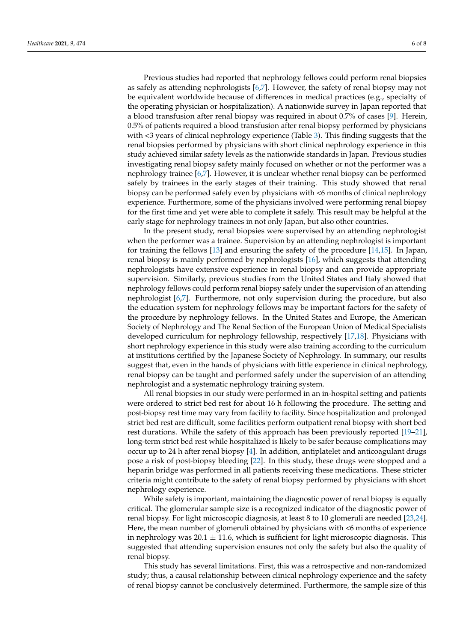Previous studies had reported that nephrology fellows could perform renal biopsies as safely as attending nephrologists [\[6](#page-6-5)[,7\]](#page-7-0). However, the safety of renal biopsy may not be equivalent worldwide because of differences in medical practices (e.g., specialty of the operating physician or hospitalization). A nationwide survey in Japan reported that a blood transfusion after renal biopsy was required in about 0.7% of cases [\[9\]](#page-7-2). Herein, 0.5% of patients required a blood transfusion after renal biopsy performed by physicians with <3 years of clinical nephrology experience (Table [3\)](#page-4-0). This finding suggests that the renal biopsies performed by physicians with short clinical nephrology experience in this study achieved similar safety levels as the nationwide standards in Japan. Previous studies investigating renal biopsy safety mainly focused on whether or not the performer was a nephrology trainee [\[6](#page-6-5)[,7\]](#page-7-0). However, it is unclear whether renal biopsy can be performed safely by trainees in the early stages of their training. This study showed that renal biopsy can be performed safely even by physicians with <6 months of clinical nephrology experience. Furthermore, some of the physicians involved were performing renal biopsy for the first time and yet were able to complete it safely. This result may be helpful at the early stage for nephrology trainees in not only Japan, but also other countries.

In the present study, renal biopsies were supervised by an attending nephrologist when the performer was a trainee. Supervision by an attending nephrologist is important for training the fellows [\[13\]](#page-7-6) and ensuring the safety of the procedure [\[14,](#page-7-7)[15\]](#page-7-8). In Japan, renal biopsy is mainly performed by nephrologists [\[16\]](#page-7-9), which suggests that attending nephrologists have extensive experience in renal biopsy and can provide appropriate supervision. Similarly, previous studies from the United States and Italy showed that nephrology fellows could perform renal biopsy safely under the supervision of an attending nephrologist [\[6,](#page-6-5)[7\]](#page-7-0). Furthermore, not only supervision during the procedure, but also the education system for nephrology fellows may be important factors for the safety of the procedure by nephrology fellows. In the United States and Europe, the American Society of Nephrology and The Renal Section of the European Union of Medical Specialists developed curriculum for nephrology fellowship, respectively [\[17,](#page-7-10)[18\]](#page-7-11). Physicians with short nephrology experience in this study were also training according to the curriculum at institutions certified by the Japanese Society of Nephrology. In summary, our results suggest that, even in the hands of physicians with little experience in clinical nephrology, renal biopsy can be taught and performed safely under the supervision of an attending nephrologist and a systematic nephrology training system.

All renal biopsies in our study were performed in an in-hospital setting and patients were ordered to strict bed rest for about 16 h following the procedure. The setting and post-biopsy rest time may vary from facility to facility. Since hospitalization and prolonged strict bed rest are difficult, some facilities perform outpatient renal biopsy with short bed rest durations. While the safety of this approach has been previously reported [\[19–](#page-7-12)[21\]](#page-7-13), long-term strict bed rest while hospitalized is likely to be safer because complications may occur up to 24 h after renal biopsy [\[4\]](#page-6-3). In addition, antiplatelet and anticoagulant drugs pose a risk of post-biopsy bleeding [\[22\]](#page-7-14). In this study, these drugs were stopped and a heparin bridge was performed in all patients receiving these medications. These stricter criteria might contribute to the safety of renal biopsy performed by physicians with short nephrology experience.

While safety is important, maintaining the diagnostic power of renal biopsy is equally critical. The glomerular sample size is a recognized indicator of the diagnostic power of renal biopsy. For light microscopic diagnosis, at least 8 to 10 glomeruli are needed [\[23](#page-7-15)[,24\]](#page-7-16). Here, the mean number of glomeruli obtained by physicians with <6 months of experience in nephrology was  $20.1 \pm 11.6$ , which is sufficient for light microscopic diagnosis. This suggested that attending supervision ensures not only the safety but also the quality of renal biopsy.

This study has several limitations. First, this was a retrospective and non-randomized study; thus, a causal relationship between clinical nephrology experience and the safety of renal biopsy cannot be conclusively determined. Furthermore, the sample size of this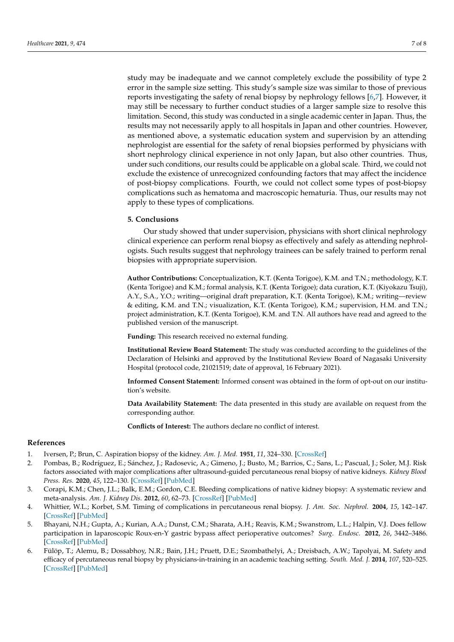study may be inadequate and we cannot completely exclude the possibility of type 2 error in the sample size setting. This study's sample size was similar to those of previous reports investigating the safety of renal biopsy by nephrology fellows [\[6,](#page-6-5)[7\]](#page-7-0). However, it may still be necessary to further conduct studies of a larger sample size to resolve this limitation. Second, this study was conducted in a single academic center in Japan. Thus, the results may not necessarily apply to all hospitals in Japan and other countries. However, as mentioned above, a systematic education system and supervision by an attending nephrologist are essential for the safety of renal biopsies performed by physicians with short nephrology clinical experience in not only Japan, but also other countries. Thus, under such conditions, our results could be applicable on a global scale. Third, we could not exclude the existence of unrecognized confounding factors that may affect the incidence of post-biopsy complications. Fourth, we could not collect some types of post-biopsy complications such as hematoma and macroscopic hematuria. Thus, our results may not apply to these types of complications.

# **5. Conclusions**

Our study showed that under supervision, physicians with short clinical nephrology clinical experience can perform renal biopsy as effectively and safely as attending nephrologists. Such results suggest that nephrology trainees can be safely trained to perform renal biopsies with appropriate supervision.

**Author Contributions:** Conceptualization, K.T. (Kenta Torigoe), K.M. and T.N.; methodology, K.T. (Kenta Torigoe) and K.M.; formal analysis, K.T. (Kenta Torigoe); data curation, K.T. (Kiyokazu Tsuji), A.Y., S.A., Y.O.; writing—original draft preparation, K.T. (Kenta Torigoe), K.M.; writing—review & editing, K.M. and T.N.; visualization, K.T. (Kenta Torigoe), K.M.; supervision, H.M. and T.N.; project administration, K.T. (Kenta Torigoe), K.M. and T.N. All authors have read and agreed to the published version of the manuscript.

**Funding:** This research received no external funding.

**Institutional Review Board Statement:** The study was conducted according to the guidelines of the Declaration of Helsinki and approved by the Institutional Review Board of Nagasaki University Hospital (protocol code, 21021519; date of approval, 16 February 2021).

**Informed Consent Statement:** Informed consent was obtained in the form of opt-out on our institution's website.

**Data Availability Statement:** The data presented in this study are available on request from the corresponding author.

**Conflicts of Interest:** The authors declare no conflict of interest.

# **References**

- <span id="page-6-0"></span>1. Iversen, P.; Brun, C. Aspiration biopsy of the kidney. *Am. J. Med.* **1951**, *11*, 324–330. [\[CrossRef\]](http://doi.org/10.1016/0002-9343(51)90169-6)
- <span id="page-6-1"></span>2. Pombas, B.; Rodríguez, E.; Sánchez, J.; Radosevic, A.; Gimeno, J.; Busto, M.; Barrios, C.; Sans, L.; Pascual, J.; Soler, M.J. Risk factors associated with major complications after ultrasound-guided percutaneous renal biopsy of native kidneys. *Kidney Blood Press. Res.* **2020**, *45*, 122–130. [\[CrossRef\]](http://doi.org/10.1159/000504544) [\[PubMed\]](http://www.ncbi.nlm.nih.gov/pubmed/31822004)
- <span id="page-6-2"></span>3. Corapi, K.M.; Chen, J.L.; Balk, E.M.; Gordon, C.E. Bleeding complications of native kidney biopsy: A systematic review and meta-analysis. *Am. J. Kidney Dis.* **2012**, *60*, 62–73. [\[CrossRef\]](http://doi.org/10.1053/j.ajkd.2012.02.330) [\[PubMed\]](http://www.ncbi.nlm.nih.gov/pubmed/22537423)
- <span id="page-6-3"></span>4. Whittier, W.L.; Korbet, S.M. Timing of complications in percutaneous renal biopsy. *J. Am. Soc. Nephrol.* **2004**, *15*, 142–147. [\[CrossRef\]](http://doi.org/10.1097/01.ASN.0000102472.37947.14) [\[PubMed\]](http://www.ncbi.nlm.nih.gov/pubmed/14694166)
- <span id="page-6-4"></span>5. Bhayani, N.H.; Gupta, A.; Kurian, A.A.; Dunst, C.M.; Sharata, A.H.; Reavis, K.M.; Swanstrom, L.L.; Halpin, V.J. Does fellow participation in laparoscopic Roux-en-Y gastric bypass affect perioperative outcomes? *Surg. Endosc.* **2012**, *26*, 3442–3486. [\[CrossRef\]](http://doi.org/10.1007/s00464-012-2360-y) [\[PubMed\]](http://www.ncbi.nlm.nih.gov/pubmed/22648124)
- <span id="page-6-5"></span>6. Fülöp, T.; Alemu, B.; Dossabhoy, N.R.; Bain, J.H.; Pruett, D.E.; Szombathelyi, A.; Dreisbach, A.W.; Tapolyai, M. Safety and efficacy of percutaneous renal biopsy by physicians-in-training in an academic teaching setting. *South. Med. J.* **2014**, *107*, 520–525. [\[CrossRef\]](http://doi.org/10.14423/SMJ.0000000000000148) [\[PubMed\]](http://www.ncbi.nlm.nih.gov/pubmed/25084192)